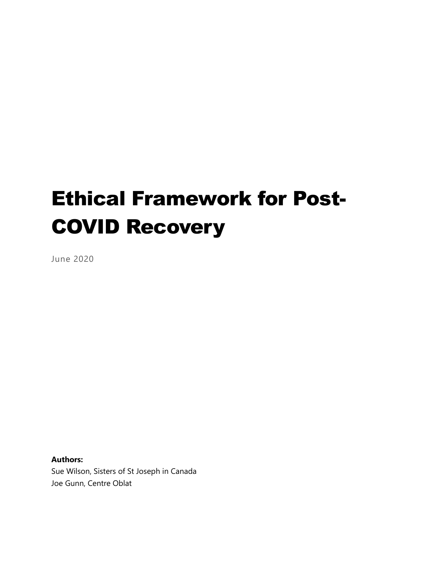# Ethical Framework for Post-COVID Recovery

June 2020

**Authors:** Sue Wilson, Sisters of St Joseph in Canada Joe Gunn, Centre Oblat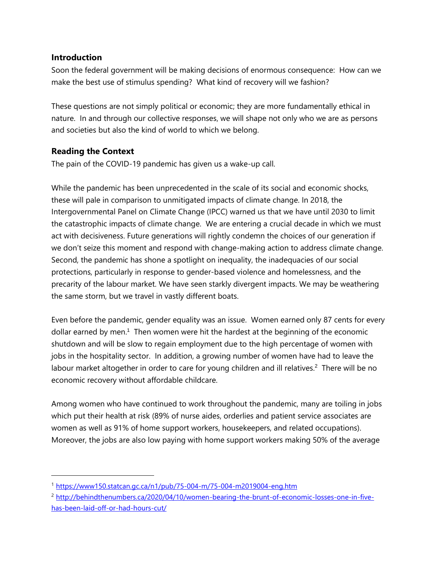#### **Introduction**

Soon the federal government will be making decisions of enormous consequence: How can we make the best use of stimulus spending? What kind of recovery will we fashion?

These questions are not simply political or economic; they are more fundamentally ethical in nature. In and through our collective responses, we will shape not only who we are as persons and societies but also the kind of world to which we belong.

# **Reading the Context**

The pain of the COVID-19 pandemic has given us a wake-up call.

While the pandemic has been unprecedented in the scale of its social and economic shocks, these will pale in comparison to unmitigated impacts of climate change. In 2018, the Intergovernmental Panel on Climate Change (IPCC) warned us that we have until 2030 to limit the catastrophic impacts of climate change. We are entering a crucial decade in which we must act with decisiveness. Future generations will rightly condemn the choices of our generation if we don't seize this moment and respond with change-making action to address climate change. Second, the pandemic has shone a spotlight on inequality, the inadequacies of our social protections, particularly in response to gender-based violence and homelessness, and the precarity of the labour market. We have seen starkly divergent impacts. We may be weathering the same storm, but we travel in vastly different boats.

Even before the pandemic, gender equality was an issue. Women earned only 87 cents for every dollar earned by men.<sup>1</sup> Then women were hit the hardest at the beginning of the economic shutdown and will be slow to regain employment due to the high percentage of women with jobs in the hospitality sector. In addition, a growing number of women have had to leave the labour market altogether in order to care for young children and ill relatives.<sup>2</sup> There will be no economic recovery without affordable childcare.

Among women who have continued to work throughout the pandemic, many are toiling in jobs which put their health at risk (89% of nurse aides, orderlies and patient service associates are women as well as 91% of home support workers, housekeepers, and related occupations). Moreover, the jobs are also low paying with home support workers making 50% of the average

<sup>1</sup> <https://www150.statcan.gc.ca/n1/pub/75-004-m/75-004-m2019004-eng.htm>

<sup>&</sup>lt;sup>2</sup> [http://behindthenumbers.ca/2020/04/10/women-bearing-the-brunt-of-economic-losses-one-in-five](http://behindthenumbers.ca/2020/04/10/women-bearing-the-brunt-of-economic-losses-one-in-five-has-been-laid-off-or-had-hours-cut/)[has-been-laid-off-or-had-hours-cut/](http://behindthenumbers.ca/2020/04/10/women-bearing-the-brunt-of-economic-losses-one-in-five-has-been-laid-off-or-had-hours-cut/)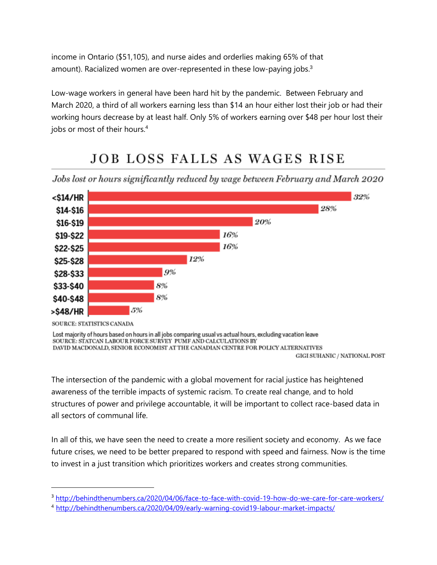income in Ontario (\$51,105), and nurse aides and orderlies making 65% of that amount). Racialized women are over-represented in these low-paying jobs.<sup>3</sup>

Low-wage workers in general have been hard hit by the pandemic. Between February and March 2020, a third of all workers earning less than \$14 an hour either lost their job or had their working hours decrease by at least half. Only 5% of workers earning over \$48 per hour lost their jobs or most of their hours.<sup>4</sup>

# **JOB LOSS FALLS AS WAGES RISE**

Jobs lost or hours significantly reduced by wage between February and March 2020



SOURCE: STATISTICS CANADA

Lost majority of hours based on hours in all jobs comparing usual vs actual hours, excluding vacation leave SOURCE: STATCAN LABOUR FORCE SURVEY PUMF AND CALCULATIONS BY DAVID MACDONALD, SENIOR ECONOMIST AT THE CANADIAN CENTRE FOR POLICY ALTERNATIVES

GIGI SUHANIC / NATIONAL POST

The intersection of the pandemic with a global movement for racial justice has heightened awareness of the terrible impacts of systemic racism. To create real change, and to hold structures of power and privilege accountable, it will be important to collect race-based data in all sectors of communal life.

In all of this, we have seen the need to create a more resilient society and economy. As we face future crises, we need to be better prepared to respond with speed and fairness. Now is the time to invest in a just transition which prioritizes workers and creates strong communities.

<sup>3</sup> <http://behindthenumbers.ca/2020/04/06/face-to-face-with-covid-19-how-do-we-care-for-care-workers/>

<sup>4</sup> <http://behindthenumbers.ca/2020/04/09/early-warning-covid19-labour-market-impacts/>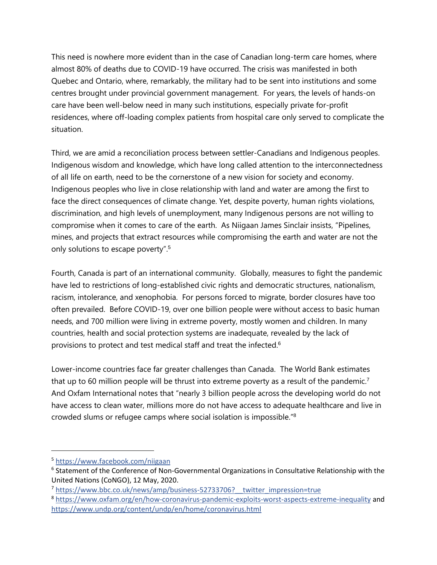This need is nowhere more evident than in the case of Canadian long-term care homes, where almost 80% of deaths due to COVID-19 have occurred. The crisis was manifested in both Quebec and Ontario, where, remarkably, the military had to be sent into institutions and some centres brought under provincial government management. For years, the levels of hands-on care have been well-below need in many such institutions, especially private for-profit residences, where off-loading complex patients from hospital care only served to complicate the situation.

Third, we are amid a reconciliation process between settler-Canadians and Indigenous peoples. Indigenous wisdom and knowledge, which have long called attention to the interconnectedness of all life on earth, need to be the cornerstone of a new vision for society and economy. Indigenous peoples who live in close relationship with land and water are among the first to face the direct consequences of climate change. Yet, despite poverty, human rights violations, discrimination, and high levels of unemployment, many Indigenous persons are not willing to compromise when it comes to care of the earth. As Niigaan James Sinclair insists, "Pipelines, mines, and projects that extract resources while compromising the earth and water are not the only solutions to escape poverty".<sup>5</sup>

Fourth, Canada is part of an international community. Globally, measures to fight the pandemic have led to restrictions of long-established civic rights and democratic structures, nationalism, racism, intolerance, and xenophobia. For persons forced to migrate, border closures have too often prevailed. Before COVID-19, over one billion people were without access to basic human needs, and 700 million were living in extreme poverty, mostly women and children. In many countries, health and social protection systems are inadequate, revealed by the lack of provisions to protect and test medical staff and treat the infected.<sup>6</sup>

Lower-income countries face far greater challenges than Canada. The World Bank estimates that up to 60 million people will be thrust into extreme poverty as a result of the pandemic.<sup>7</sup> And Oxfam International notes that "nearly 3 billion people across the developing world do not have access to clean water, millions more do not have access to adequate healthcare and live in crowded slums or refugee camps where social isolation is impossible."<sup>8</sup>

<sup>5</sup> <https://www.facebook.com/niigaan>

<sup>&</sup>lt;sup>6</sup> Statement of the Conference of Non-Governmental Organizations in Consultative Relationship with the United Nations (CoNGO), 12 May, 2020.

<sup>&</sup>lt;sup>7</sup> https://www.bbc.co.uk/news/amp/business-52733706? twitter\_impression=true

<sup>8</sup> <https://www.oxfam.org/en/how-coronavirus-pandemic-exploits-worst-aspects-extreme-inequality> and <https://www.undp.org/content/undp/en/home/coronavirus.html>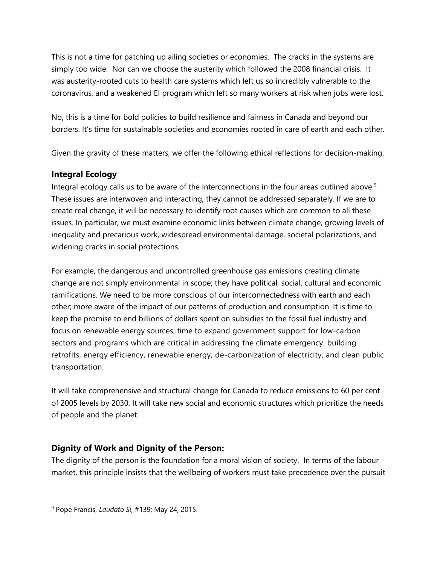This is not a time for patching up ailing societies or economies. The cracks in the systems are simply too wide. Nor can we choose the austerity which followed the 2008 financial crisis. It was austerity-rooted cuts to health care systems which left us so incredibly vulnerable to the coronavirus, and a weakened EI program which left so many workers at risk when jobs were lost.

No, this is a time for bold policies to build resilience and fairness in Canada and beyond our borders. It's time for sustainable societies and economies rooted in care of earth and each other.

Given the gravity of these matters, we offer the following ethical reflections for decision-making.

# **Integral Ecology**

Integral ecology calls us to be aware of the interconnections in the four areas outlined above. $9$ These issues are interwoven and interacting; they cannot be addressed separately. If we are to create real change, it will be necessary to identify root causes which are common to all these issues. In particular, we must examine economic links between climate change, growing levels of inequality and precarious work, widespread environmental damage, societal polarizations, and widening cracks in social protections.

For example, the dangerous and uncontrolled greenhouse gas emissions creating climate change are not simply environmental in scope; they have political, social, cultural and economic ramifications. We need to be more conscious of our interconnectedness with earth and each other; more aware of the impact of our patterns of production and consumption. It is time to keep the promise to end billions of dollars spent on subsidies to the fossil fuel industry and focus on renewable energy sources; time to expand government support for low-carbon sectors and programs which are critical in addressing the climate emergency: building retrofits, energy efficiency, renewable energy, de-carbonization of electricity, and clean public transportation.

It will take comprehensive and structural change for Canada to reduce emissions to 60 per cent of 2005 levels by 2030. It will take new social and economic structures which prioritize the needs of people and the planet.

# **Dignity of Work and Dignity of the Person:**

The dignity of the person is the foundation for a moral vision of society. In terms of the labour market, this principle insists that the wellbeing of workers must take precedence over the pursuit

<sup>9</sup> Pope Francis, *Laudato Si*, #139; May 24, 2015.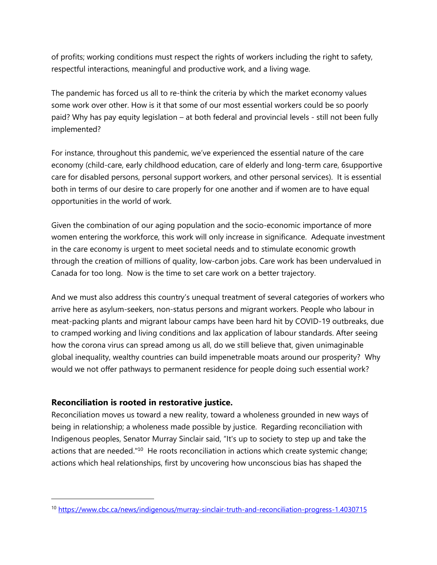of profits; working conditions must respect the rights of workers including the right to safety, respectful interactions, meaningful and productive work, and a living wage.

The pandemic has forced us all to re-think the criteria by which the market economy values some work over other. How is it that some of our most essential workers could be so poorly paid? Why has pay equity legislation – at both federal and provincial levels - still not been fully implemented?

For instance, throughout this pandemic, we've experienced the essential nature of the care economy (child-care, early childhood education, care of elderly and long-term care, 6supportive care for disabled persons, personal support workers, and other personal services). It is essential both in terms of our desire to care properly for one another and if women are to have equal opportunities in the world of work.

Given the combination of our aging population and the socio-economic importance of more women entering the workforce, this work will only increase in significance. Adequate investment in the care economy is urgent to meet societal needs and to stimulate economic growth through the creation of millions of quality, low-carbon jobs. Care work has been undervalued in Canada for too long. Now is the time to set care work on a better trajectory.

And we must also address this country's unequal treatment of several categories of workers who arrive here as asylum-seekers, non-status persons and migrant workers. People who labour in meat-packing plants and migrant labour camps have been hard hit by COVID-19 outbreaks, due to cramped working and living conditions and lax application of labour standards. After seeing how the corona virus can spread among us all, do we still believe that, given unimaginable global inequality, wealthy countries can build impenetrable moats around our prosperity? Why would we not offer pathways to permanent residence for people doing such essential work?

#### **Reconciliation is rooted in restorative justice.**

Reconciliation moves us toward a new reality, toward a wholeness grounded in new ways of being in relationship; a wholeness made possible by justice. Regarding reconciliation with Indigenous peoples, Senator Murray Sinclair said, "It's up to society to step up and take the actions that are needed."<sup>10</sup> He roots reconciliation in actions which create systemic change; actions which heal relationships, first by uncovering how unconscious bias has shaped the

<sup>10</sup> <https://www.cbc.ca/news/indigenous/murray-sinclair-truth-and-reconciliation-progress-1.4030715>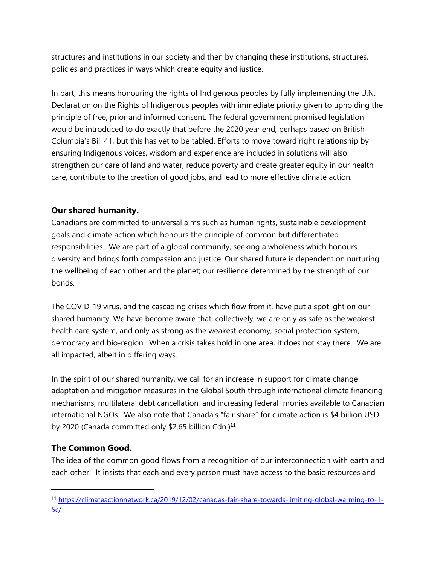structures and institutions in our society and then by changing these institutions, structures, policies and practices in ways which create equity and justice.

In part, this means honouring the rights of Indigenous peoples by fully implementing the U.N. Declaration on the Rights of Indigenous peoples with immediate priority given to upholding the principle of free, prior and informed consent. The federal government promised legislation would be introduced to do exactly that before the 2020 year end, perhaps based on British Columbia's Bill 41, but this has yet to be tabled. Efforts to move toward right relationship by ensuring Indigenous voices, wisdom and experience are included in solutions will also strengthen our care of land and water, reduce poverty and create greater equity in our health care, contribute to the creation of good jobs, and lead to more effective climate action.

# **Our shared humanity.**

Canadians are committed to universal aims such as human rights, sustainable development goals and climate action which honours the principle of common but differentiated responsibilities. We are part of a global community, seeking a wholeness which honours diversity and brings forth compassion and justice. Our shared future is dependent on nurturing the wellbeing of each other and the planet; our resilience determined by the strength of our bonds.

The COVID-19 virus, and the cascading crises which flow from it, have put a spotlight on our shared humanity. We have become aware that, collectively, we are only as safe as the weakest health care system, and only as strong as the weakest economy, social protection system, democracy and bio-region. When a crisis takes hold in one area, it does not stay there. We are all impacted, albeit in differing ways.

In the spirit of our shared humanity, we call for an increase in support for climate change adaptation and mitigation measures in the Global South through international climate financing mechanisms, multilateral debt cancellation, and increasing federal -monies available to Canadian international NGOs. We also note that Canada's "fair share" for climate action is \$4 billion USD by 2020 (Canada committed only \$2.65 billion Cdn.)<sup>11</sup>

# **The Common Good.**

The idea of the common good flows from a recognition of our interconnection with earth and each other. It insists that each and every person must have access to the basic resources and

<sup>11</sup> [https://climateactionnetwork.ca/2019/12/02/canadas-fair-share-towards-limiting-global-warming-to-1-](https://climateactionnetwork.ca/2019/12/02/canadas-fair-share-towards-limiting-global-warming-to-1-5c/) [5c/](https://climateactionnetwork.ca/2019/12/02/canadas-fair-share-towards-limiting-global-warming-to-1-5c/)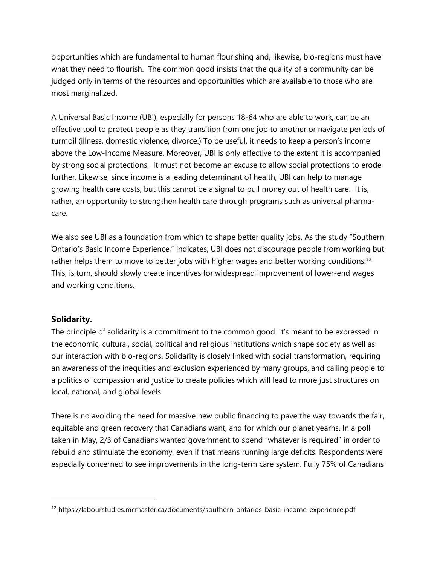opportunities which are fundamental to human flourishing and, likewise, bio-regions must have what they need to flourish. The common good insists that the quality of a community can be judged only in terms of the resources and opportunities which are available to those who are most marginalized.

A Universal Basic Income (UBI), especially for persons 18-64 who are able to work, can be an effective tool to protect people as they transition from one job to another or navigate periods of turmoil (illness, domestic violence, divorce.) To be useful, it needs to keep a person's income above the Low-Income Measure. Moreover, UBI is only effective to the extent it is accompanied by strong social protections. It must not become an excuse to allow social protections to erode further. Likewise, since income is a leading determinant of health, UBI can help to manage growing health care costs, but this cannot be a signal to pull money out of health care. It is, rather, an opportunity to strengthen health care through programs such as universal pharmacare.

We also see UBI as a foundation from which to shape better quality jobs. As the study "Southern Ontario's Basic Income Experience," indicates, UBI does not discourage people from working but rather helps them to move to better jobs with higher wages and better working conditions.<sup>12</sup> This, is turn, should slowly create incentives for widespread improvement of lower-end wages and working conditions.

# **Solidarity.**

The principle of solidarity is a commitment to the common good. It's meant to be expressed in the economic, cultural, social, political and religious institutions which shape society as well as our interaction with bio-regions. Solidarity is closely linked with social transformation, requiring an awareness of the inequities and exclusion experienced by many groups, and calling people to a politics of compassion and justice to create policies which will lead to more just structures on local, national, and global levels.

There is no avoiding the need for massive new public financing to pave the way towards the fair, equitable and green recovery that Canadians want, and for which our planet yearns. In a poll taken in May, 2/3 of Canadians wanted government to spend "whatever is required" in order to rebuild and stimulate the economy, even if that means running large deficits. Respondents were especially concerned to see improvements in the long-term care system. Fully 75% of Canadians

<sup>&</sup>lt;sup>12</sup> <https://labourstudies.mcmaster.ca/documents/southern-ontarios-basic-income-experience.pdf>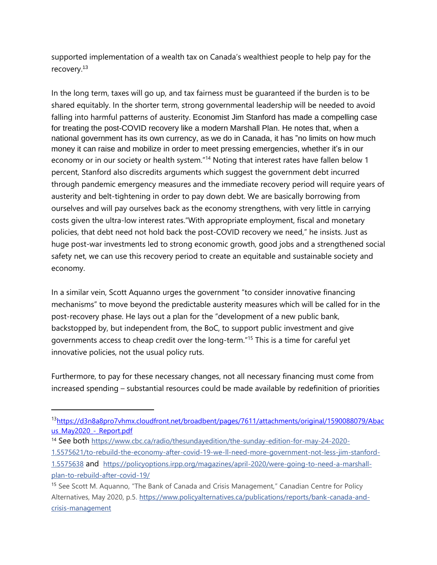supported implementation of a wealth tax on Canada's wealthiest people to help pay for the recovery.<sup>13</sup>

In the long term, taxes will go up, and tax fairness must be guaranteed if the burden is to be shared equitably. In the shorter term, strong governmental leadership will be needed to avoid falling into harmful patterns of austerity. Economist Jim Stanford has made a compelling case for treating the post-COVID recovery like a modern Marshall Plan. He notes that, when a national government has its own currency, as we do in Canada, it has "no limits on how much money it can raise and mobilize in order to meet pressing emergencies, whether it's in our economy or in our society or health system."<sup>14</sup> Noting that interest rates have fallen below 1 percent, Stanford also discredits arguments which suggest the government debt incurred through pandemic emergency measures and the immediate recovery period will require years of austerity and belt-tightening in order to pay down debt. We are basically borrowing from ourselves and will pay ourselves back as the economy strengthens, with very little in carrying costs given the ultra-low interest rates."With appropriate employment, fiscal and monetary policies, that debt need not hold back the post-COVID recovery we need," he insists. Just as huge post-war investments led to strong economic growth, good jobs and a strengthened social safety net, we can use this recovery period to create an equitable and sustainable society and economy.

In a similar vein, Scott Aquanno urges the government "to consider innovative financing mechanisms" to move beyond the predictable austerity measures which will be called for in the post-recovery phase. He lays out a plan for the "development of a new public bank, backstopped by, but independent from, the BoC, to support public investment and give governments access to cheap credit over the long-term." <sup>15</sup> This is a time for careful yet innovative policies, not the usual policy ruts.

Furthermore, to pay for these necessary changes, not all necessary financing must come from increased spending – substantial resources could be made available by redefinition of priorities

<sup>14</sup> See both [https://www.cbc.ca/radio/thesundayedition/the-sunday-edition-for-may-24-2020-](https://www.cbc.ca/radio/thesundayedition/the-sunday-edition-for-may-24-2020-1.5575621/to-rebuild-the-economy-after-covid-19-we-ll-need-more-government-not-less-jim-stanford-1.5575638)

<sup>13</sup>[https://d3n8a8pro7vhmx.cloudfront.net/broadbent/pages/7611/attachments/original/1590088079/Abac](https://d3n8a8pro7vhmx.cloudfront.net/broadbent/pages/7611/attachments/original/1590088079/Abacus_May2020_-_Report.pdf) us\_May2020 - Report.pdf

[<sup>1.5575621/</sup>to-rebuild-the-economy-after-covid-19-we-ll-need-more-government-not-less-jim-stanford-](https://www.cbc.ca/radio/thesundayedition/the-sunday-edition-for-may-24-2020-1.5575621/to-rebuild-the-economy-after-covid-19-we-ll-need-more-government-not-less-jim-stanford-1.5575638)

[<sup>1.5575638</sup>](https://www.cbc.ca/radio/thesundayedition/the-sunday-edition-for-may-24-2020-1.5575621/to-rebuild-the-economy-after-covid-19-we-ll-need-more-government-not-less-jim-stanford-1.5575638) and [https://policyoptions.irpp.org/magazines/april-2020/were-going-to-need-a-marshall](https://policyoptions.irpp.org/magazines/april-2020/were-going-to-need-a-marshall-plan-to-rebuild-after-covid-19/)[plan-to-rebuild-after-covid-19/](https://policyoptions.irpp.org/magazines/april-2020/were-going-to-need-a-marshall-plan-to-rebuild-after-covid-19/)

<sup>&</sup>lt;sup>15</sup> See Scott M. Aquanno, "The Bank of Canada and Crisis Management," Canadian Centre for Policy Alternatives, May 2020, p.5. [https://www.policyalternatives.ca/publications/reports/bank-canada-and](https://www.policyalternatives.ca/publications/reports/bank-canada-and-crisis-management)[crisis-management](https://www.policyalternatives.ca/publications/reports/bank-canada-and-crisis-management)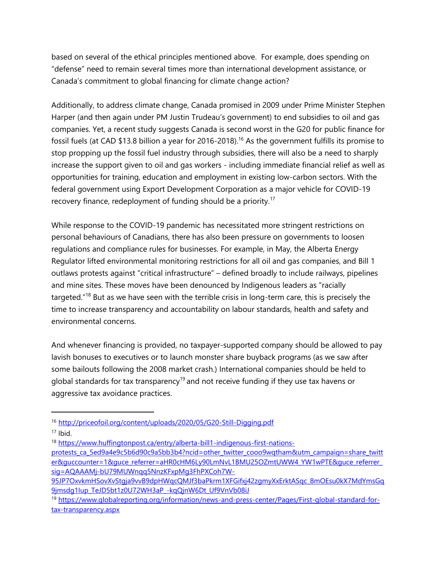based on several of the ethical principles mentioned above. For example, does spending on "defense" need to remain several times more than international development assistance, or Canada's commitment to global financing for climate change action?

Additionally, to address climate change, Canada promised in 2009 under Prime Minister Stephen Harper (and then again under PM Justin Trudeau's government) to end subsidies to oil and gas companies. Yet, a recent study suggests Canada is second worst in the G20 for public finance for fossil fuels (at CAD \$13.8 billion a year for 2016-2018).<sup>16</sup> As the government fulfills its promise to stop propping up the fossil fuel industry through subsidies, there will also be a need to sharply increase the support given to oil and gas workers - including immediate financial relief as well as opportunities for training, education and employment in existing low-carbon sectors. With the federal government using Export Development Corporation as a major vehicle for COVID-19 recovery finance, redeployment of funding should be a priority.<sup>17</sup>

While response to the COVID-19 pandemic has necessitated more stringent restrictions on personal behaviours of Canadians, there has also been pressure on governments to loosen regulations and compliance rules for businesses. For example, in May, the Alberta Energy Regulator lifted environmental monitoring restrictions for all oil and gas companies, and Bill 1 outlaws protests against "critical infrastructure" – defined broadly to include railways, pipelines and mine sites. These moves have been denounced by Indigenous leaders as "racially targeted."<sup>18</sup> But as we have seen with the terrible crisis in long-term care, this is precisely the time to increase transparency and accountability on labour standards, health and safety and environmental concerns.

And whenever financing is provided, no taxpayer-supported company should be allowed to pay lavish bonuses to executives or to launch monster share buyback programs (as we saw after some bailouts following the 2008 market crash.) International companies should be held to global standards for tax transparency<sup>19</sup> and not receive funding if they use tax havens or aggressive tax avoidance practices.

<sup>16</sup> <http://priceofoil.org/content/uploads/2020/05/G20-Still-Digging.pdf>

 $17$  Ibid.

<sup>18</sup> [https://www.huffingtonpost.ca/entry/alberta-bill1-indigenous-first-nations-](https://www.huffingtonpost.ca/entry/alberta-bill1-indigenous-first-nations-protests_ca_5ed9a4e9c5b6d90c9a5bb3b4?ncid=other_twitter_cooo9wqtham&utm_campaign=share_twitter&guccounter=1&guce_referrer=aHR0cHM6Ly90LmNvL1BMU25OZmtUWW4_YW1wPTE&guce_referrer_sig=AQAAAMj-bU79MUWnqq5NnzKFxpMg3FhPXCoh7W-95JP7OxvkmHSovXvStgja9vvB9dpHWqcQMJf3baPkrm1XFGifxj42zgmyXxErktASqc_8mOEsu0kX7MdYmsGq9jmsdg1Iup_TeJD5bt1z0U72WH3aP_-kqQjnW6Dt_Uf9VnVb08iJ)

[protests\\_ca\\_5ed9a4e9c5b6d90c9a5bb3b4?ncid=other\\_twitter\\_cooo9wqtham&utm\\_campaign=share\\_twitt](https://www.huffingtonpost.ca/entry/alberta-bill1-indigenous-first-nations-protests_ca_5ed9a4e9c5b6d90c9a5bb3b4?ncid=other_twitter_cooo9wqtham&utm_campaign=share_twitter&guccounter=1&guce_referrer=aHR0cHM6Ly90LmNvL1BMU25OZmtUWW4_YW1wPTE&guce_referrer_sig=AQAAAMj-bU79MUWnqq5NnzKFxpMg3FhPXCoh7W-95JP7OxvkmHSovXvStgja9vvB9dpHWqcQMJf3baPkrm1XFGifxj42zgmyXxErktASqc_8mOEsu0kX7MdYmsGq9jmsdg1Iup_TeJD5bt1z0U72WH3aP_-kqQjnW6Dt_Uf9VnVb08iJ) er&guccounter=1&guce\_referrer=aHR0cHM6Ly90LmNvL1BMU25OZmtUWW4\_YW1wPTE&guce\_referrer [sig=AQAAAMj-bU79MUWnqq5NnzKFxpMg3FhPXCoh7W-](https://www.huffingtonpost.ca/entry/alberta-bill1-indigenous-first-nations-protests_ca_5ed9a4e9c5b6d90c9a5bb3b4?ncid=other_twitter_cooo9wqtham&utm_campaign=share_twitter&guccounter=1&guce_referrer=aHR0cHM6Ly90LmNvL1BMU25OZmtUWW4_YW1wPTE&guce_referrer_sig=AQAAAMj-bU79MUWnqq5NnzKFxpMg3FhPXCoh7W-95JP7OxvkmHSovXvStgja9vvB9dpHWqcQMJf3baPkrm1XFGifxj42zgmyXxErktASqc_8mOEsu0kX7MdYmsGq9jmsdg1Iup_TeJD5bt1z0U72WH3aP_-kqQjnW6Dt_Uf9VnVb08iJ)

[<sup>95</sup>JP7OxvkmHSovXvStgja9vvB9dpHWqcQMJf3baPkrm1XFGifxj42zgmyXxErktASqc\\_8mOEsu0kX7MdYmsGq](https://www.huffingtonpost.ca/entry/alberta-bill1-indigenous-first-nations-protests_ca_5ed9a4e9c5b6d90c9a5bb3b4?ncid=other_twitter_cooo9wqtham&utm_campaign=share_twitter&guccounter=1&guce_referrer=aHR0cHM6Ly90LmNvL1BMU25OZmtUWW4_YW1wPTE&guce_referrer_sig=AQAAAMj-bU79MUWnqq5NnzKFxpMg3FhPXCoh7W-95JP7OxvkmHSovXvStgja9vvB9dpHWqcQMJf3baPkrm1XFGifxj42zgmyXxErktASqc_8mOEsu0kX7MdYmsGq9jmsdg1Iup_TeJD5bt1z0U72WH3aP_-kqQjnW6Dt_Uf9VnVb08iJ) 9jmsdg1Iup\_TeJD5bt1z0U72WH3aP\_-kgQjnW6Dt\_Uf9VnVb08iJ

<sup>19</sup> [https://www.globalreporting.org/information/news-and-press-center/Pages/First-global-standard-for](https://www.globalreporting.org/information/news-and-press-center/Pages/First-global-standard-for-tax-transparency.aspx)[tax-transparency.aspx](https://www.globalreporting.org/information/news-and-press-center/Pages/First-global-standard-for-tax-transparency.aspx)